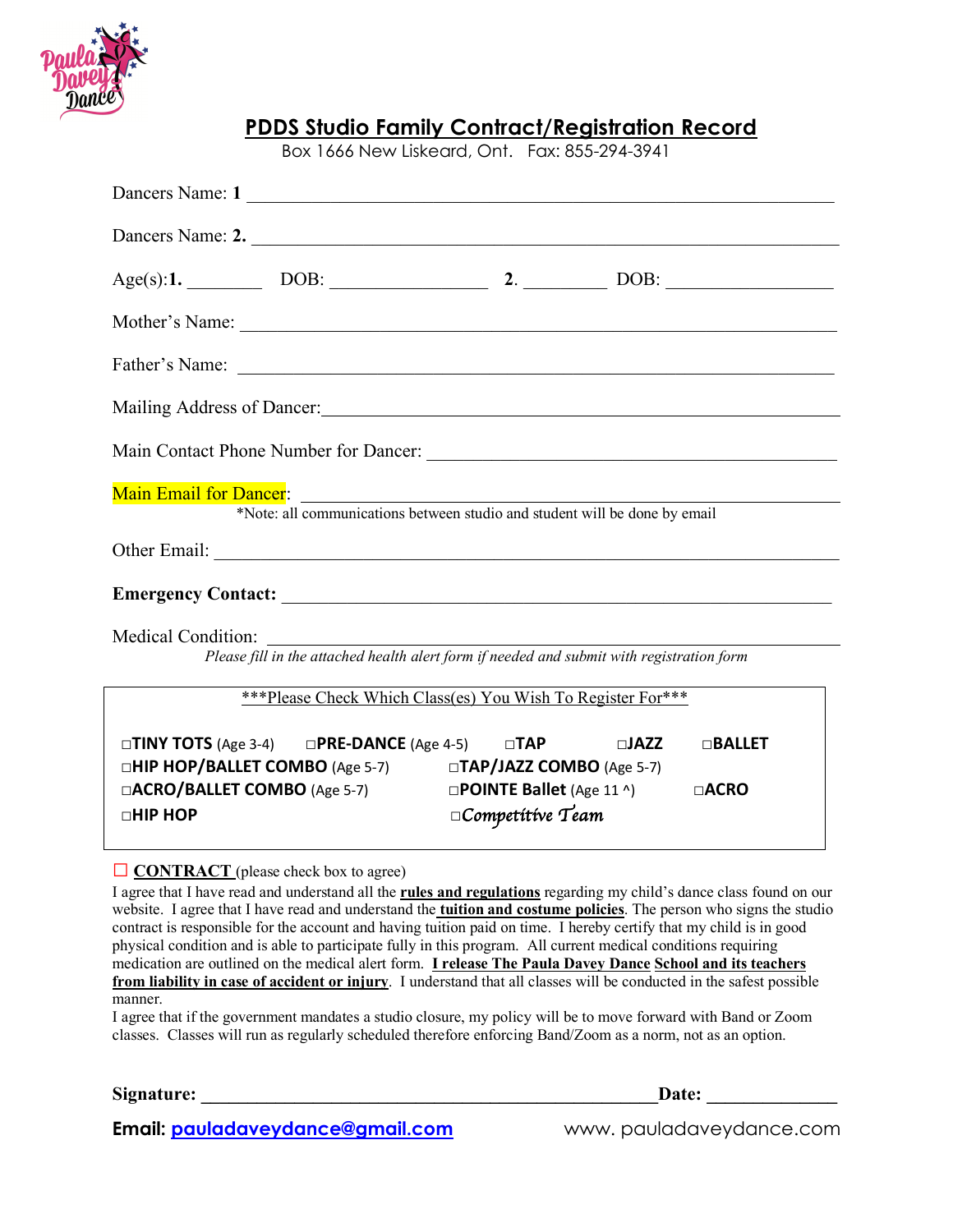

|  | Box 1666 New Liskeard, Ont. Fax: 855-294-3941               |                                                                                                                                                                                                                                |  |
|--|-------------------------------------------------------------|--------------------------------------------------------------------------------------------------------------------------------------------------------------------------------------------------------------------------------|--|
|  | Dancers Name: 1                                             |                                                                                                                                                                                                                                |  |
|  |                                                             | Dancers Name: 2.                                                                                                                                                                                                               |  |
|  |                                                             |                                                                                                                                                                                                                                |  |
|  |                                                             |                                                                                                                                                                                                                                |  |
|  |                                                             |                                                                                                                                                                                                                                |  |
|  |                                                             | Mailing Address of Dancer: 1986 and 1987 and 1988 and 1988 and 1988 and 1988 and 1988 and 1988 and 1988 and 1988 and 1988 and 1988 and 1988 and 1988 and 1988 and 1988 and 1988 and 1988 and 1988 and 1988 and 1988 and 1988 a |  |
|  |                                                             |                                                                                                                                                                                                                                |  |
|  |                                                             | Main Email for Dancer:<br>*Note: all communications between studio and student will be done by email                                                                                                                           |  |
|  |                                                             |                                                                                                                                                                                                                                |  |
|  |                                                             |                                                                                                                                                                                                                                |  |
|  |                                                             | Medical Condition:<br>Please fill in the attached health alert form if needed and submit with registration form                                                                                                                |  |
|  | ***Please Check Which Class(es) You Wish To Register For*** |                                                                                                                                                                                                                                |  |
|  |                                                             | $\Box$ TINV TOTS (Ass 2.4) $\Box$ DDE DANCE (Ass 4.5) $\Box$ TAD $\Box$ $\Box$ IA77 $\Box$ $\Box$ RAIIET                                                                                                                       |  |

**PDDS Studio Family Contract/Registration Record**

**□ TINY TOTS** (Age 3-4) □**PRE-DANCE** (Age 4-5) □**TAP □HIP HOP/BALLET COMBO** (Age 5-7) **□TAP/JAZZ COMBO** (Age 5-7) **□ACRO/BALLET COMBO** (Age 5-7) **□POINTE Ballet** (Age 11 ^) **□ACRO □HIP HOP □***Competitive Team*

## □ **CONTRACT** (please check box to agree)

I agree that I have read and understand all the **rules and regulations** regarding my child's dance class found on our website. I agree that I have read and understand the **tuition and costume policies**. The person who signs the studio contract is responsible for the account and having tuition paid on time. I hereby certify that my child is in good physical condition and is able to participate fully in this program. All current medical conditions requiring medication are outlined on the medical alert form. **I release The Paula Davey Dance School and its teachers from liability in case of accident or injury**. I understand that all classes will be conducted in the safest possible manner.

I agree that if the government mandates a studio closure, my policy will be to move forward with Band or Zoom classes. Classes will run as regularly scheduled therefore enforcing Band/Zoom as a norm, not as an option.

Signature: **Date:**  $\blacksquare$ 

**Email: pauladaveydance@gmail.com** www. pauladaveydance.com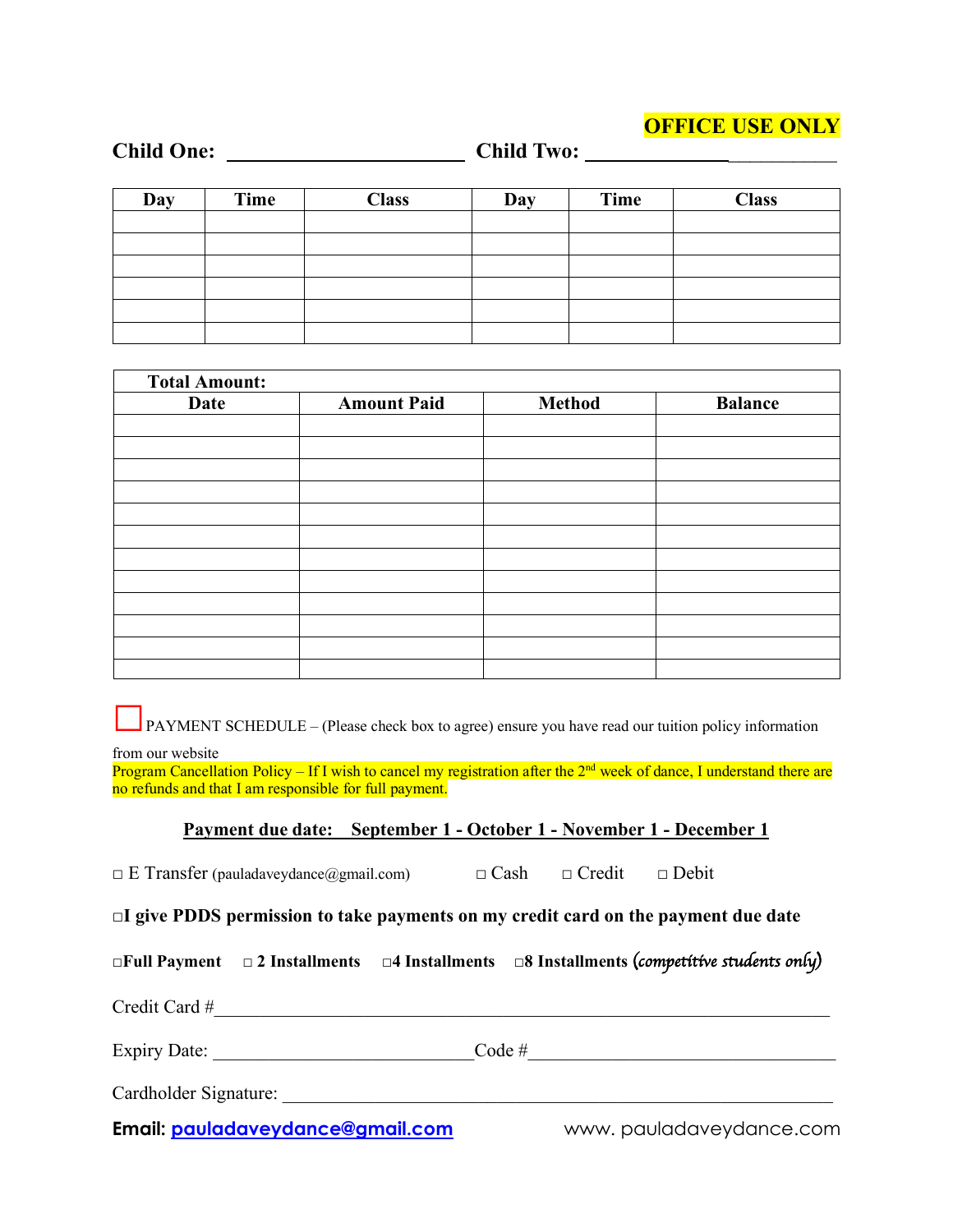## **OFFICE USE ONLY**

| <b>Child One:</b> |      |              |     |      |              |
|-------------------|------|--------------|-----|------|--------------|
| Day               | Time | <b>Class</b> | Day | Time | <b>Class</b> |
|                   |      |              |     |      |              |
|                   |      |              |     |      |              |
|                   |      |              |     |      |              |
|                   |      |              |     |      |              |
|                   |      |              |     |      |              |
|                   |      |              |     |      |              |

| <b>Total Amount:</b> |                    |               |                |
|----------------------|--------------------|---------------|----------------|
| Date                 | <b>Amount Paid</b> | <b>Method</b> | <b>Balance</b> |
|                      |                    |               |                |
|                      |                    |               |                |
|                      |                    |               |                |
|                      |                    |               |                |
|                      |                    |               |                |
|                      |                    |               |                |
|                      |                    |               |                |
|                      |                    |               |                |
|                      |                    |               |                |
|                      |                    |               |                |
|                      |                    |               |                |
|                      |                    |               |                |

□PAYMENT SCHEDULE – (Please check box to agree) ensure you have read our tuition policy information

from our website

Program Cancellation Policy – If I wish to cancel my registration after the  $2<sup>nd</sup>$  week of dance, I understand there are no refunds and that I am responsible for full payment.

## **Payment due date: September 1 - October 1 - November 1 - December 1**

| $\Box$ E Transfer (pauladaveydance@gmail.com) | $\Box$ Cash | $\Box$ Credit | $\Box$ Debit |  |
|-----------------------------------------------|-------------|---------------|--------------|--|
|-----------------------------------------------|-------------|---------------|--------------|--|

**□I give PDDS permission to take payments on my credit card on the payment due date**

|                       |                                  |          | $\Box$ Full Payment $\Box$ 2 Installments $\Box$ 4 Installments $\Box$ 8 Installments (competitive students only) |
|-----------------------|----------------------------------|----------|-------------------------------------------------------------------------------------------------------------------|
| Credit Card #         |                                  |          |                                                                                                                   |
|                       | Expiry Date:                     | Code $#$ |                                                                                                                   |
| Cardholder Signature: |                                  |          |                                                                                                                   |
|                       | Email: pauladaveydance@gmail.com |          | www.pauladaveydance.com                                                                                           |